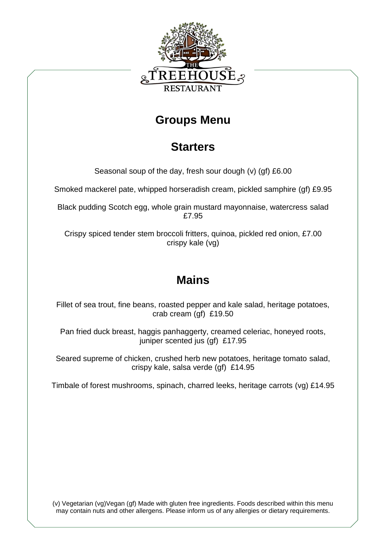

#### **Groups Menu**

## **Starters**

Seasonal soup of the day, fresh sour dough (v) (gf) £6.00

Smoked mackerel pate, whipped horseradish cream, pickled samphire (gf) £9.95

Black pudding Scotch egg, whole grain mustard mayonnaise, watercress salad £7.95

Crispy spiced tender stem broccoli fritters, quinoa, pickled red onion, £7.00 crispy kale (vg)

# **Mains**

Fillet of sea trout, fine beans, roasted pepper and kale salad, heritage potatoes, crab cream (gf) £19.50

Pan fried duck breast, haggis panhaggerty, creamed celeriac, honeyed roots, juniper scented jus (gf) £17.95

Seared supreme of chicken, crushed herb new potatoes, heritage tomato salad, crispy kale, salsa verde (gf) £14.95

Timbale of forest mushrooms, spinach, charred leeks, heritage carrots (vg) £14.95

(v) Vegetarian (vg)Vegan (gf) Made with gluten free ingredients. Foods described within this menu may contain nuts and other allergens. Please inform us of any allergies or dietary requirements.